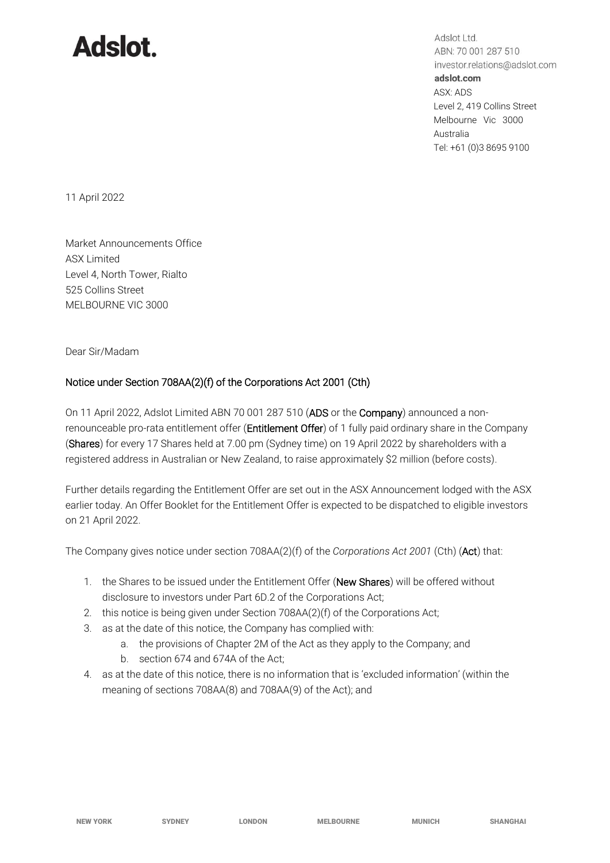## **Adslot.**

Adslot Ltd. ABN: 70 001 287 510 investor.relations@adslot.com adslot.com ASX: ADS Level 2, 419 Collins Street Melbourne Vic 3000 Australia Tel: +61 (0)3 8695 9100

11 April 2022

Market Announcements Office ASX Limited Level 4, North Tower, Rialto 525 Collins Street MELBOURNE VIC 3000

Dear Sir/Madam

## Notice under Section 708AA(2)(f) of the Corporations Act 2001 (Cth)

On 11 April 2022, Adslot Limited ABN 70 001 287 510 (ADS or the Company) announced a nonrenounceable pro-rata entitlement offer (Entitlement Offer) of 1 fully paid ordinary share in the Company (Shares) for every 17 Shares held at 7.00 pm (Sydney time) on 19 April 2022 by shareholders with a registered address in Australian or New Zealand, to raise approximately \$2 million (before costs).

Further details regarding the Entitlement Offer are set out in the ASX Announcement lodged with the ASX earlier today. An Offer Booklet for the Entitlement Offer is expected to be dispatched to eligible investors on 21 April 2022.

The Company gives notice under section 708AA(2)(f) of the *Corporations Act 2001* (Cth) (Act) that:

- 1. the Shares to be issued under the Entitlement Offer (New Shares) will be offered without disclosure to investors under Part 6D.2 of the Corporations Act;
- 2. this notice is being given under Section 708AA(2)(f) of the Corporations Act;
- 3. as at the date of this notice, the Company has complied with:
	- a. the provisions of Chapter 2M of the Act as they apply to the Company; and
	- b. section 674 and 674A of the Act;
- 4. as at the date of this notice, there is no information that is 'excluded information' (within the meaning of sections 708AA(8) and 708AA(9) of the Act); and